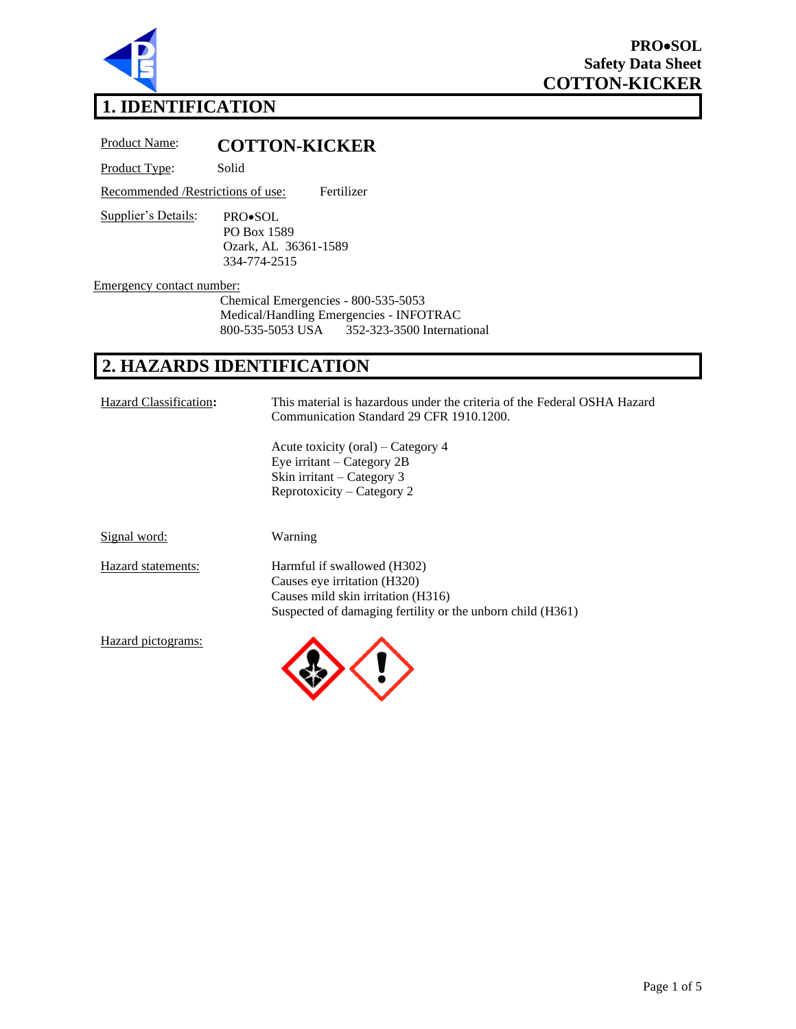

# **1. IDENTIFICATION**

Product Name: **COTTON-KICKER**

Product Type: Solid

Recommended /Restrictions of use: Fertilizer

Supplier's Details: PRO•SOL PO Box 1589 Ozark, AL 36361-1589 334-774-2515

Emergency contact number:

Chemical Emergencies - 800-535-5053 Medical/Handling Emergencies - INFOTRAC<br>800-535-5053 USA 352-323-3500 Internat 800-535-5053 USA 352-323-3500 International

# **2. HAZARDS IDENTIFICATION**

| Hazard Classification: | This material is hazardous under the criteria of the Federal OSHA Hazard<br>Communication Standard 29 CFR 1910.1200.                                            |
|------------------------|-----------------------------------------------------------------------------------------------------------------------------------------------------------------|
|                        | Acute toxicity (oral) – Category 4<br>Eye irritant $-$ Category 2B<br>Skin irritant – Category 3<br>Reprotoxicity – Category 2                                  |
| Signal word:           | Warning                                                                                                                                                         |
| Hazard statements:     | Harmful if swallowed (H302)<br>Causes eye irritation (H320)<br>Causes mild skin irritation (H316)<br>Suspected of damaging fertility or the unborn child (H361) |
| Hazard pictograms:     |                                                                                                                                                                 |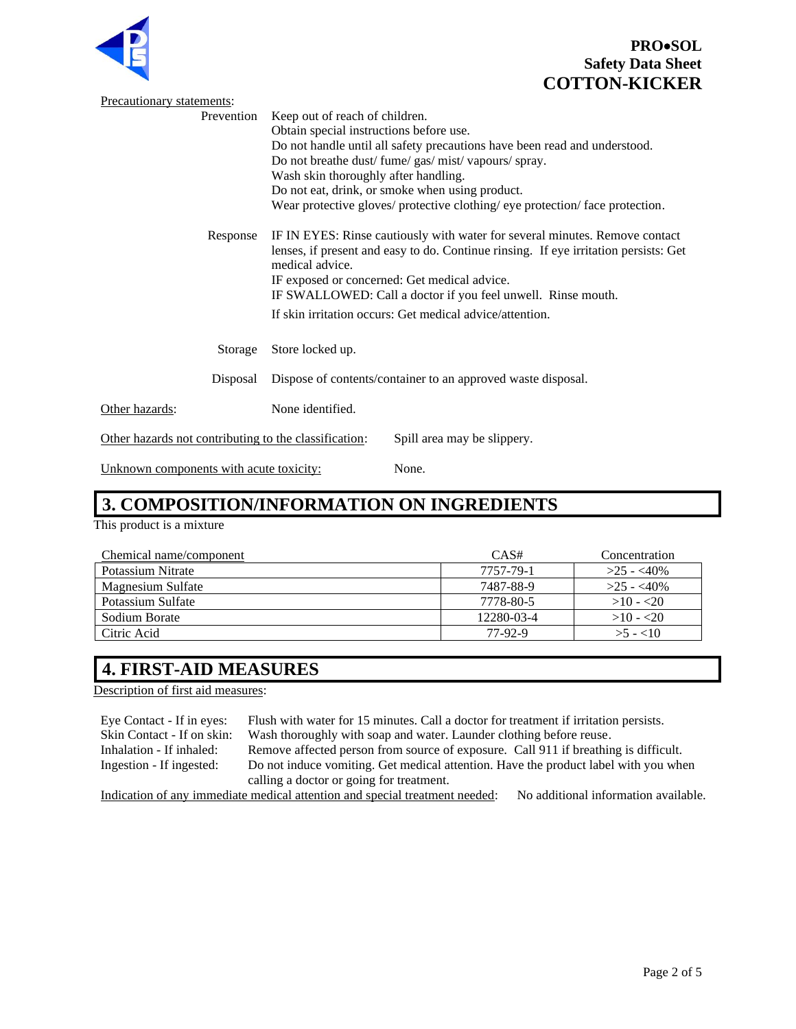

|                                                       | <b>COTTON-KICKE</b>                                                                                                                                                                                         |  |  |
|-------------------------------------------------------|-------------------------------------------------------------------------------------------------------------------------------------------------------------------------------------------------------------|--|--|
| Precautionary statements:                             |                                                                                                                                                                                                             |  |  |
| Prevention                                            | Keep out of reach of children.                                                                                                                                                                              |  |  |
|                                                       | Obtain special instructions before use.                                                                                                                                                                     |  |  |
|                                                       | Do not handle until all safety precautions have been read and understood.                                                                                                                                   |  |  |
|                                                       | Do not breathe dust/ fume/ gas/ mist/ vapours/ spray.                                                                                                                                                       |  |  |
|                                                       | Wash skin thoroughly after handling.                                                                                                                                                                        |  |  |
|                                                       | Do not eat, drink, or smoke when using product.                                                                                                                                                             |  |  |
|                                                       | Wear protective gloves/ protective clothing/ eye protection/ face protection.                                                                                                                               |  |  |
| Response                                              | IF IN EYES: Rinse cautiously with water for several minutes. Remove contact                                                                                                                                 |  |  |
|                                                       | lenses, if present and easy to do. Continue rinsing. If eye irritation persists: Get                                                                                                                        |  |  |
|                                                       | IF exposed or concerned: Get medical advice.                                                                                                                                                                |  |  |
|                                                       |                                                                                                                                                                                                             |  |  |
|                                                       |                                                                                                                                                                                                             |  |  |
|                                                       |                                                                                                                                                                                                             |  |  |
| Storage                                               | Store locked up.                                                                                                                                                                                            |  |  |
|                                                       |                                                                                                                                                                                                             |  |  |
|                                                       |                                                                                                                                                                                                             |  |  |
| Other hazards:                                        | None identified.                                                                                                                                                                                            |  |  |
| Other hazards not contributing to the classification: | Spill area may be slippery.                                                                                                                                                                                 |  |  |
| <u>Unknown components with acute toxicity:</u>        | None.                                                                                                                                                                                                       |  |  |
| Disposal                                              | medical advice.<br>IF SWALLOWED: Call a doctor if you feel unwell. Rinse mouth.<br>If skin irritation occurs: Get medical advice/attention.<br>Dispose of contents/container to an approved waste disposal. |  |  |

# **3. COMPOSITION/INFORMATION ON INGREDIENTS**

This product is a mixture

| Chemical name/component | CAS#       | Concentration |
|-------------------------|------------|---------------|
| Potassium Nitrate       | 7757-79-1  | $>25 - 40\%$  |
| Magnesium Sulfate       | 7487-88-9  | $>25 - 40\%$  |
| Potassium Sulfate       | 7778-80-5  | $>10 - 20$    |
| Sodium Borate           | 12280-03-4 | $>10 - 20$    |
| Citric Acid             | 77-92-9    | $>5 - 10$     |

# **4. FIRST-AID MEASURES**

Description of first aid measures:

| Eye Contact - If in eyes:                                                                                           | Flush with water for 15 minutes. Call a doctor for treatment if irritation persists. |  |
|---------------------------------------------------------------------------------------------------------------------|--------------------------------------------------------------------------------------|--|
| Skin Contact - If on skin:                                                                                          | Wash thoroughly with soap and water. Launder clothing before reuse.                  |  |
| Inhalation - If inhaled:                                                                                            | Remove affected person from source of exposure. Call 911 if breathing is difficult.  |  |
| Ingestion - If ingested:                                                                                            | Do not induce vomiting. Get medical attention. Have the product label with you when  |  |
|                                                                                                                     | calling a doctor or going for treatment.                                             |  |
| Indication of any immediate medical attention and special treatment needed:<br>No additional information available. |                                                                                      |  |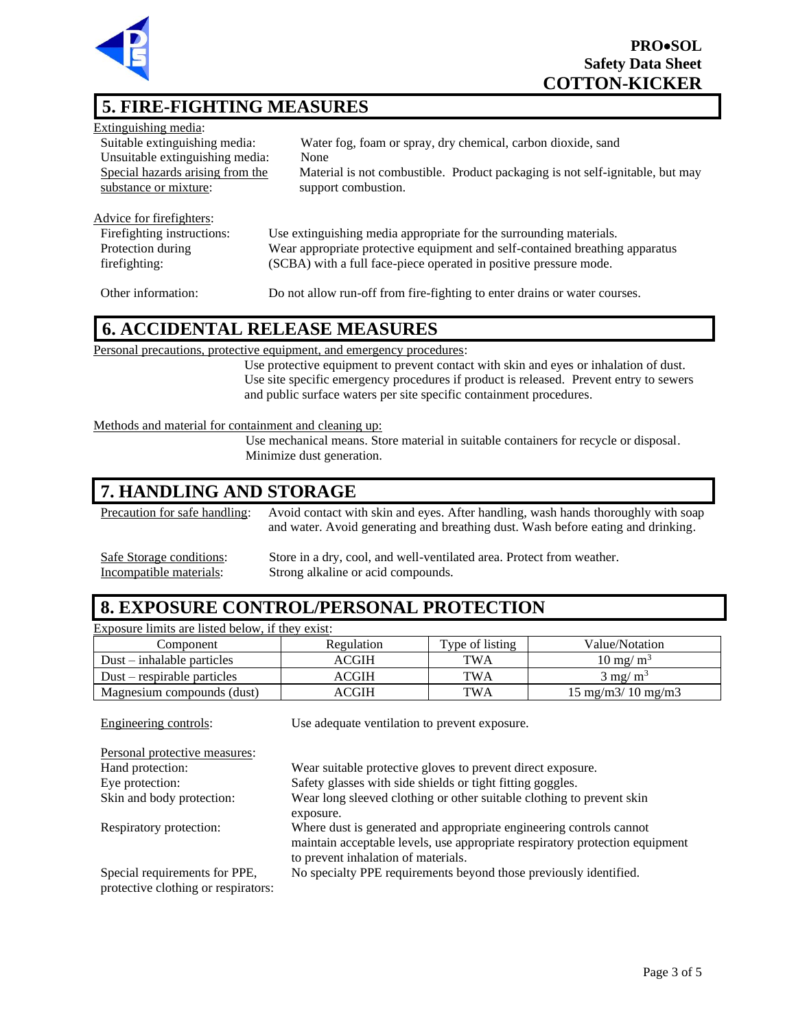

# **5. FIRE-FIGHTING MEASURES**

| Extinguishing media:             |                                                                               |
|----------------------------------|-------------------------------------------------------------------------------|
| Suitable extinguishing media:    | Water fog, foam or spray, dry chemical, carbon dioxide, sand                  |
| Unsuitable extinguishing media:  | None                                                                          |
| Special hazards arising from the | Material is not combustible. Product packaging is not self-ignitable, but may |
| substance or mixture:            | support combustion.                                                           |
|                                  |                                                                               |
| Advice for firefighters:         |                                                                               |
| Firefighting instructions:       | Use extinguishing media appropriate for the surrounding materials.            |
| Protection during                | Wear appropriate protective equipment and self-contained breathing apparatus  |
| firefighting:                    | (SCBA) with a full face-piece operated in positive pressure mode.             |

Other information: Do not allow run-off from fire-fighting to enter drains or water courses.

#### **6. ACCIDENTAL RELEASE MEASURES**

Personal precautions, protective equipment, and emergency procedures:

Use protective equipment to prevent contact with skin and eyes or inhalation of dust. Use site specific emergency procedures if product is released. Prevent entry to sewers and public surface waters per site specific containment procedures.

#### Methods and material for containment and cleaning up:

Use mechanical means. Store material in suitable containers for recycle or disposal. Minimize dust generation.

## **7. HANDLING AND STORAGE**

Precaution for safe handling: Avoid contact with skin and eyes. After handling, wash hands thoroughly with soap and water. Avoid generating and breathing dust. Wash before eating and drinking.

Safe Storage conditions: Store in a dry, cool, and well-ventilated area. Protect from weather.<br>Incompatible materials: Strong alkaline or acid compounds. Strong alkaline or acid compounds.

#### **8. EXPOSURE CONTROL/PERSONAL PROTECTION**

Exposure limits are listed below, if they exist:

| Component                      | Regulation  | Type of listing | Value/Notation                            |
|--------------------------------|-------------|-----------------|-------------------------------------------|
| $Dust - inhalable \ particles$ | ACGIH       | TWA             | $10 \text{ mg/m}^3$                       |
| $Dust$ – respirable particles  | ACGIH       | TWA             | $3 \text{ mg/m}^3$                        |
| Magnesium compounds (dust)     | <b>CGIH</b> | TWA             | $15 \text{ mg/m}$ $3/10 \text{ mg/m}$ $3$ |

| Engineering controls:                                                | Use adequate ventilation to prevent exposure.                                                                                                                                              |
|----------------------------------------------------------------------|--------------------------------------------------------------------------------------------------------------------------------------------------------------------------------------------|
| Personal protective measures:                                        |                                                                                                                                                                                            |
| Hand protection:                                                     | Wear suitable protective gloves to prevent direct exposure.                                                                                                                                |
| Eye protection:                                                      | Safety glasses with side shields or tight fitting goggles.                                                                                                                                 |
| Skin and body protection:                                            | Wear long sleeved clothing or other suitable clothing to prevent skin<br>exposure.                                                                                                         |
| Respiratory protection:                                              | Where dust is generated and appropriate engineering controls cannot<br>maintain acceptable levels, use appropriate respiratory protection equipment<br>to prevent inhalation of materials. |
| Special requirements for PPE,<br>protective clothing or respirators: | No specialty PPE requirements beyond those previously identified.                                                                                                                          |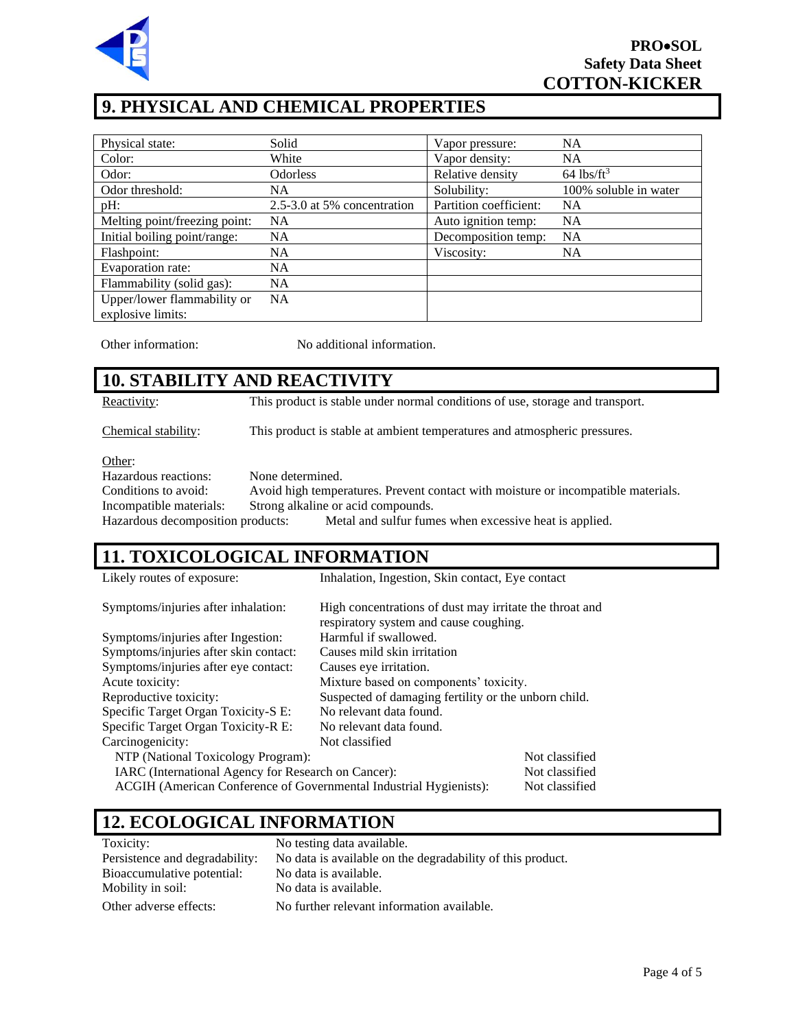

# **9. PHYSICAL AND CHEMICAL PROPERTIES**

| Physical state:               | Solid                       | Vapor pressure:        | <b>NA</b>                |
|-------------------------------|-----------------------------|------------------------|--------------------------|
| Color:                        | White                       | Vapor density:         | <b>NA</b>                |
| Odor:                         | <b>Odorless</b>             | Relative density       | $64$ lbs/ft <sup>3</sup> |
| Odor threshold:               | NA                          | Solubility:            | 100% soluble in water    |
| pH:                           | 2.5-3.0 at 5% concentration | Partition coefficient: | <b>NA</b>                |
| Melting point/freezing point: | <b>NA</b>                   | Auto ignition temp:    | <b>NA</b>                |
| Initial boiling point/range:  | <b>NA</b>                   | Decomposition temp:    | <b>NA</b>                |
| Flashpoint:                   | <b>NA</b>                   | Viscosity:             | <b>NA</b>                |
| Evaporation rate:             | <b>NA</b>                   |                        |                          |
| Flammability (solid gas):     | <b>NA</b>                   |                        |                          |
| Upper/lower flammability or   | <b>NA</b>                   |                        |                          |
| explosive limits:             |                             |                        |                          |

Other information: No additional information.

# **10. STABILITY AND REACTIVITY**

Reactivity: This product is stable under normal conditions of use, storage and transport.

Chemical stability: This product is stable at ambient temperatures and atmospheric pressures.

Other:

Hazardous reactions: None determined.

Conditions to avoid: Avoid high temperatures. Prevent contact with moisture or incompatible materials. Incompatible materials: Strong alkaline or acid compounds. Hazardous decomposition products: Metal and sulfur fumes when excessive heat is applied.

# **11. TOXICOLOGICAL INFORMATION**

| Likely routes of exposure:                                                     | Inhalation, Ingestion, Skin contact, Eye contact                                                  |                |
|--------------------------------------------------------------------------------|---------------------------------------------------------------------------------------------------|----------------|
| Symptoms/injuries after inhalation:                                            | High concentrations of dust may irritate the throat and<br>respiratory system and cause coughing. |                |
| Symptoms/injuries after Ingestion:                                             | Harmful if swallowed.                                                                             |                |
| Symptoms/injuries after skin contact:                                          | Causes mild skin irritation                                                                       |                |
| Symptoms/injuries after eye contact:                                           | Causes eye irritation.                                                                            |                |
| Acute toxicity:                                                                | Mixture based on components' toxicity.                                                            |                |
| Reproductive toxicity:<br>Suspected of damaging fertility or the unborn child. |                                                                                                   |                |
| Specific Target Organ Toxicity-S E:                                            | No relevant data found.                                                                           |                |
| Specific Target Organ Toxicity-R E:                                            | No relevant data found.                                                                           |                |
| Carcinogenicity:                                                               | Not classified                                                                                    |                |
| NTP (National Toxicology Program):                                             |                                                                                                   | Not classified |
| IARC (International Agency for Research on Cancer):                            |                                                                                                   | Not classified |
| ACGIH (American Conference of Governmental Industrial Hygienists):             |                                                                                                   | Not classified |

# **12. ECOLOGICAL INFORMATION**

| Toxicity:                      | No testing data available.                                 |
|--------------------------------|------------------------------------------------------------|
| Persistence and degradability: | No data is available on the degradability of this product. |
| Bioaccumulative potential:     | No data is available.                                      |
| Mobility in soil:              | No data is available.                                      |
| Other adverse effects:         | No further relevant information available.                 |